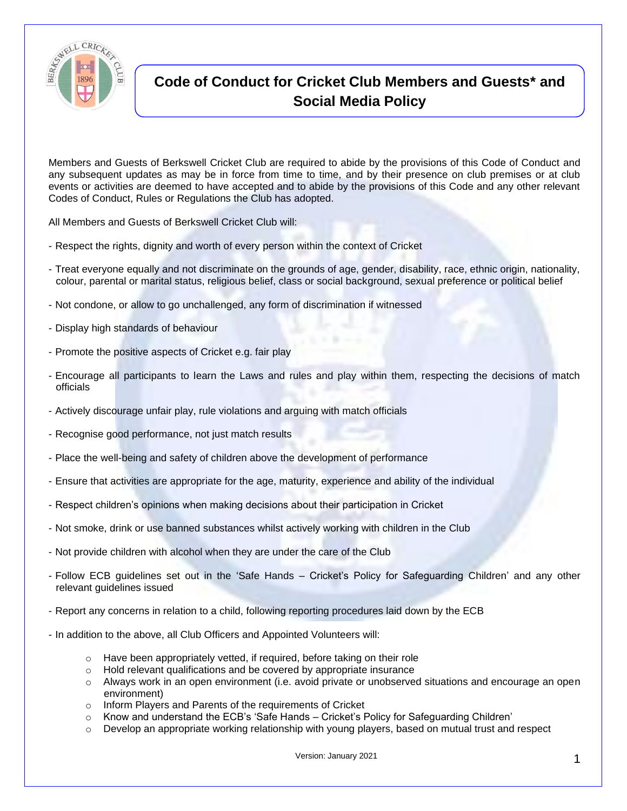

## **Code of Conduct for Cricket Club Members and Guests\* and Social Media Policy**

Members and Guests of Berkswell Cricket Club are required to abide by the provisions of this Code of Conduct and any subsequent updates as may be in force from time to time, and by their presence on club premises or at club events or activities are deemed to have accepted and to abide by the provisions of this Code and any other relevant Codes of Conduct, Rules or Regulations the Club has adopted.

All Members and Guests of Berkswell Cricket Club will:

- Respect the rights, dignity and worth of every person within the context of Cricket
- Treat everyone equally and not discriminate on the grounds of age, gender, disability, race, ethnic origin, nationality, colour, parental or marital status, religious belief, class or social background, sexual preference or political belief
- Not condone, or allow to go unchallenged, any form of discrimination if witnessed
- Display high standards of behaviour
- Promote the positive aspects of Cricket e.g. fair play
- Encourage all participants to learn the Laws and rules and play within them, respecting the decisions of match officials
- Actively discourage unfair play, rule violations and arguing with match officials
- Recognise good performance, not just match results
- Place the well-being and safety of children above the development of performance
- Ensure that activities are appropriate for the age, maturity, experience and ability of the individual
- Respect children's opinions when making decisions about their participation in Cricket
- Not smoke, drink or use banned substances whilst actively working with children in the Club
- Not provide children with alcohol when they are under the care of the Club
- Follow ECB guidelines set out in the 'Safe Hands Cricket's Policy for Safeguarding Children' and any other relevant guidelines issued
- Report any concerns in relation to a child, following reporting procedures laid down by the ECB
- In addition to the above, all Club Officers and Appointed Volunteers will:
	- o Have been appropriately vetted, if required, before taking on their role
	- o Hold relevant qualifications and be covered by appropriate insurance
	- o Always work in an open environment (i.e. avoid private or unobserved situations and encourage an open environment)
	- o Inform Players and Parents of the requirements of Cricket
	- o Know and understand the ECB's 'Safe Hands Cricket's Policy for Safeguarding Children'
	- Develop an appropriate working relationship with young players, based on mutual trust and respect